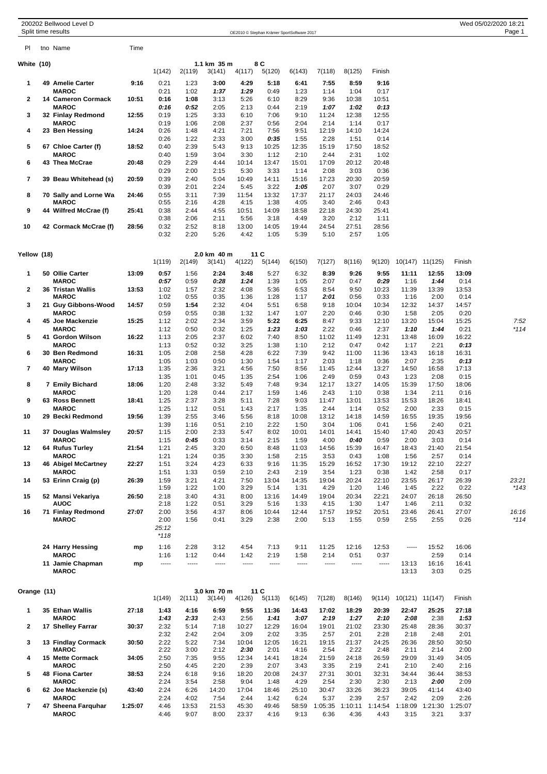|                          | 200202 Bellwood Level D<br>Split time results    |         |                                 |                |                       |                |                | OE2010 © Stephan Krämer SportSoftware 2017 |                         |                |                 |                |                          |                       | Wed 05/02/2020 18:21<br>Page 1 |
|--------------------------|--------------------------------------------------|---------|---------------------------------|----------------|-----------------------|----------------|----------------|--------------------------------------------|-------------------------|----------------|-----------------|----------------|--------------------------|-----------------------|--------------------------------|
| PI.                      | tno Name                                         | Time    |                                 |                |                       |                |                |                                            |                         |                |                 |                |                          |                       |                                |
| White (10)               |                                                  |         | 1(142)                          | 2(119)         | 1.1 km 35 m<br>3(141) | 4(117)         | 8 C<br>5(120)  | 6(143)                                     | 7(118)                  | 8(125)         | Finish          |                |                          |                       |                                |
| 1                        | 49 Amelie Carter                                 | 9:16    | 0:21                            | 1:23           | 3:00                  | 4:29           | 5:18           | 6:41                                       | 7:55                    | 8:59           | 9:16            |                |                          |                       |                                |
| $\overline{2}$           | <b>MAROC</b><br>14 Cameron Cormack               | 10:51   | 0:21<br>0:16                    | 1:02<br>1:08   | 1:37<br>3:13          | 1:29<br>5:26   | 0:49<br>6:10   | 1:23<br>8:29                               | 1:14<br>9:36            | 1:04<br>10:38  | 0:17<br>10:51   |                |                          |                       |                                |
| 3                        | <b>MAROC</b><br>32 Finlay Redmond                | 12:55   | 0:16<br>0:19                    | 0:52<br>1:25   | 2:05<br>3:33          | 2:13<br>6:10   | 0:44<br>7:06   | 2:19<br>9:10                               | 1:07<br>11:24           | 1:02<br>12:38  | 0:13<br>12:55   |                |                          |                       |                                |
|                          | <b>MAROC</b>                                     |         | 0:19                            | 1:06           | 2:08                  | 2:37           | 0:56           | 2:04                                       | 2:14                    | 1:14           | 0:17            |                |                          |                       |                                |
| 4                        | 23 Ben Hessing                                   | 14:24   | 0:26<br>0:26                    | 1:48<br>1:22   | 4:21<br>2:33          | 7:21<br>3:00   | 7:56<br>0:35   | 9:51<br>1:55                               | 12:19<br>2:28           | 14:10<br>1:51  | 14:24<br>0:14   |                |                          |                       |                                |
| 5                        | 67 Chloe Carter (f)<br><b>MAROC</b>              | 18:52   | 0:40<br>0:40                    | 2:39<br>1:59   | 5:43<br>3:04          | 9:13<br>3:30   | 10:25<br>1:12  | 12:35<br>2:10                              | 15:19<br>2:44           | 17:50<br>2:31  | 18:52<br>1:02   |                |                          |                       |                                |
| 6                        | 43 Thea McCrae                                   | 20:48   | 0:29<br>0:29                    | 2:29<br>2:00   | 4:44<br>2:15          | 10:14<br>5:30  | 13:47<br>3:33  | 15:01<br>1:14                              | 17:09<br>2:08           | 20:12<br>3:03  | 20:48<br>0:36   |                |                          |                       |                                |
| $\overline{\phantom{a}}$ | 39 Beau Whitehead (s)                            | 20:59   | 0:39<br>0:39                    | 2:40<br>2:01   | 5:04<br>2:24          | 10:49<br>5:45  | 14:11<br>3:22  | 15:16<br>1:05                              | 17:23<br>2:07           | 20:30<br>3:07  | 20:59<br>0:29   |                |                          |                       |                                |
| 8                        | 70 Sally and Lorne Wa                            | 24:46   | 0:55                            | 3:11           | 7:39                  | 11:54          | 13:32          | 17:37                                      | 21:17                   | 24:03          | 24:46           |                |                          |                       |                                |
| 9                        | <b>MAROC</b><br>44 Wilfred McCrae (f)            | 25:41   | 0:55<br>0:38                    | 2:16<br>2:44   | 4:28<br>4:55          | 4:15<br>10:51  | 1:38<br>14:09  | 4:05<br>18:58                              | 3:40<br>22:18           | 2:46<br>24:30  | 0:43<br>25:41   |                |                          |                       |                                |
| 10                       | 42 Cormack McCrae (f)                            | 28:56   | 0:38<br>0:32                    | 2:06<br>2:52   | 2:11<br>8:18          | 5:56<br>13:00  | 3:18<br>14:05  | 4:49<br>19:44                              | 3:20<br>24:54           | 2:12<br>27:51  | 1:11<br>28:56   |                |                          |                       |                                |
|                          |                                                  |         | 0:32                            | 2:20           | 5:26                  | 4:42           | 1:05           | 5:39                                       | 5:10                    | 2:57           | 1:05            |                |                          |                       |                                |
| Yellow (18)              |                                                  |         |                                 |                | 2.0 km 40 m           |                | 11 C           |                                            |                         |                |                 |                |                          |                       |                                |
| 1                        | 50 Ollie Carter                                  | 13:09   | 1(119)<br>0:57                  | 2(149)<br>1:56 | 3(141)<br>2:24        | 4(122)<br>3:48 | 5(144)<br>5:27 | 6(150)<br>6:32                             | 7(127)<br>8:39          | 8(116)<br>9:26 | 9(120)<br>9:55  | 11:11          | 10(147) 11(125)<br>12:55 | Finish<br>13:09       |                                |
| $\mathbf{2}$             | <b>MAROC</b><br><b>36 Tristan Wallis</b>         | 13:53   | 0:57<br>1:02                    | 0:59<br>1:57   | 0:28<br>2:32          | 1:24<br>4:08   | 1:39<br>5:36   | 1:05<br>6:53                               | 2:07<br>8:54            | 0:47<br>9:50   | 0:29<br>10:23   | 1:16<br>11:39  | 1:44<br>13:39            | 0:14<br>13:53         |                                |
| 3                        | <b>MAROC</b><br>21 Guy Gibbons-Wood              | 14:57   | 1:02<br>0:59                    | 0:55<br>1:54   | 0:35<br>2:32          | 1:36<br>4:04   | 1:28<br>5:51   | 1:17<br>6:58                               | 2:01<br>9:18            | 0:56<br>10:04  | 0:33<br>10:34   | 1:16<br>12:32  | 2:00<br>14:37            | 0:14<br>14:57         |                                |
|                          | <b>MAROC</b>                                     |         | 0:59                            | 0:55           | 0:38                  | 1:32           | 1:47           | 1:07                                       | 2:20                    | 0:46           | 0:30            | 1:58           | 2:05                     | 0:20                  |                                |
| 4                        | 45 Joe Mackenzie<br><b>MAROC</b>                 | 15:25   | 1:12<br>1:12                    | 2:02<br>0:50   | 2:34<br>0:32          | 3:59<br>1:25   | 5:22<br>1:23   | 6:25<br>1:03                               | 8:47<br>2:22            | 9:33<br>0:46   | 12:10<br>2:37   | 13:20<br>1:10  | 15:04<br>1:44            | 15:25<br>0:21         | 7:52<br>*114                   |
| 5                        | 41 Gordon Wilson<br><b>MAROC</b>                 | 16:22   | 1:13<br>1:13                    | 2:05<br>0:52   | 2:37<br>0:32          | 6:02<br>3:25   | 7:40<br>1:38   | 8:50<br>1:10                               | 11:02<br>2:12           | 11:49<br>0:47  | 12:31<br>0:42   | 13:48<br>1:17  | 16:09<br>2:21            | 16:22<br>0:13         |                                |
| 6                        | 30 Ben Redmond<br><b>MAROC</b>                   | 16:31   | 1:05<br>1:05                    | 2:08<br>1:03   | 2:58<br>0:50          | 4:28<br>1:30   | 6:22<br>1:54   | 7:39<br>1:17                               | 9:42<br>2:03            | 11:00<br>1:18  | 11:36<br>0:36   | 13:43<br>2:07  | 16:18<br>2:35            | 16:31<br>0:13         |                                |
| 7                        | 40 Mary Wilson                                   | 17:13   | 1:35<br>1:35                    | 2:36<br>1:01   | 3:21<br>0:45          | 4:56<br>1:35   | 7:50<br>2:54   | 8:56<br>1:06                               | 11:45<br>2:49           | 12:44<br>0:59  | 13:27<br>0:43   | 14:50<br>1:23  | 16:58<br>2:08            | 17:13<br>0:15         |                                |
| 8                        | 7 Emily Bichard<br><b>MAROC</b>                  | 18:06   | 1:20<br>1:20                    | 2:48<br>1:28   | 3:32<br>0:44          | 5:49<br>2:17   | 7:48<br>1:59   | 9:34<br>1:46                               | 12:17<br>2:43           | 13:27<br>1:10  | 14:05<br>0:38   | 15:39<br>1:34  | 17:50<br>2:11            | 18:06<br>0:16         |                                |
| 9                        | 63 Ross Bennett<br><b>MAROC</b>                  | 18:41   | 1:25                            | 2:37           | 3:28<br>0:51          | 5:11<br>1:43   | 7:28           | 9:03                                       | 11:47<br>2:44           | 13:01<br>1:14  | 13:53           | 15:53<br>2:00  | 18:26                    | 18:41                 |                                |
| 10                       | 29 Becki Redmond                                 | 19:56   | 1:25<br>1:39                    | 1:12<br>2:55   | 3:46                  | 5:56           | 2:17<br>8:18   | 1:35<br>10:08                              | 13:12                   | 14:18          | 0:52<br>14:59   | 16:55          | 2:33<br>19:35            | 0:15<br>19:56         |                                |
| 11                       | 37 Douglas Walmsley                              | 20:57   | 1:39<br>1:15                    | 1:16<br>2:00   | 0:51<br>2:33          | 2:10<br>5:47   | 2:22<br>8:02   | 1:50<br>10:01                              | 3:04<br>14:01           | 1:06<br>14:41  | 0:41<br>15:40   | 1:56<br>17:40  | 2:40<br>20:43            | 0:21<br>20:57         |                                |
| 12                       | <b>MAROC</b><br>64 Rufus Turley                  | 21:54   | 1:15<br>1:21                    | 0:45<br>2:45   | 0:33<br>3:20          | 3:14<br>6:50   | 2:15<br>8:48   | 1:59<br>11:03                              | 4:00<br>14:56           | 0:40<br>15:39  | 0:59<br>16:47   | 2:00<br>18:43  | 3:03<br>21:40            | 0:14<br>21:54         |                                |
| 13                       | <b>MAROC</b><br>46 Abigel McCartney              | 22:27   | 1:21<br>1:51                    | 1:24<br>3:24   | 0:35<br>4:23          | 3:30<br>6:33   | 1:58<br>9:16   | 2:15<br>11:35                              | 3:53<br>15:29           | 0:43<br>16:52  | 1:08<br>17:30   | 1:56<br>19:12  | 2:57<br>22:10            | 0:14<br>22:27         |                                |
| 14                       | <b>MAROC</b><br>53 Erinn Craig (p)               | 26:39   | 1:51<br>1:59                    | 1:33<br>3:21   | 0:59<br>4:21          | 2:10<br>7:50   | 2:43<br>13:04  | 2:19<br>14:35                              | 3:54<br>19:04           | 1:23<br>20:24  | 0:38<br>22:10   | 1:42<br>23:55  | 2:58<br>26:17            | 0:17<br>26:39         | 23:21                          |
| 15                       | 52 Mansi Vekariya                                | 26:50   | 1:59<br>2:18                    | 1:22<br>3:40   | 1:00<br>4:31          | 3:29<br>8:00   | 5:14<br>13:16  | 1:31<br>14:49                              | 4:29<br>19:04           | 1:20<br>20:34  | 1:46<br>22:21   | 1:45<br>24:07  | 2:22<br>26:18            | 0:22<br>26:50         | *143                           |
|                          | <b>AUOC</b>                                      |         | 2:18                            | 1:22           | 0:51                  | 3:29           | 5:16           | 1:33                                       | 4:15                    | 1:30           | 1:47            | 1:46           | 2:11                     | 0:32                  |                                |
| 16                       | 71 Finlay Redmond<br><b>MAROC</b>                | 27:07   | 2:00<br>2:00<br>25:12<br>$*118$ | 3:56<br>1:56   | 4:37<br>0:41          | 8:06<br>3:29   | 10:44<br>2:38  | 12:44<br>2:00                              | 17:57<br>5:13           | 19:52<br>1:55  | 20:51<br>0:59   | 23:46<br>2:55  | 26:41<br>2:55            | 27:07<br>0:26         | 16:16<br>$*114$                |
|                          | 24 Harry Hessing                                 | mp      | 1:16                            | 2:28           | 3:12                  | 4:54           | 7:13           | 9:11                                       | 11:25                   | 12:16          | 12:53           | -----          | 15:52                    | 16:06                 |                                |
|                          | <b>MAROC</b><br>11 Jamie Chapman<br><b>MAROC</b> | mp      | 1:16                            | 1:12<br>-----  | 0:44<br>-----         | 1:42<br>-----  | 2:19<br>-----  | 1:58<br>-----                              | 2:14<br>$\cdots$        | 0:51<br>-----  | 0:37<br>-----   | 13:13<br>13:13 | 2:59<br>16:16<br>3:03    | 0:14<br>16:41<br>0:25 |                                |
| Orange (11)              |                                                  |         | 1(149)                          | 2(111)         | 3.0 km 70 m<br>3(144) | 4(126)         | 11 C<br>5(113) | 6(145)                                     | 7(128)                  | 8(146)         | 9(114)          |                | 10(121) 11(147)          | Finish                |                                |
| 1                        | 35 Ethan Wallis                                  | 27:18   | 1:43                            | 4:16           | 6:59                  | 9:55           | 11:36          | 14:43                                      | 17:02                   | 18:29          | 20:39           | 22:47          | 25:25                    | 27:18                 |                                |
| $\overline{2}$           | <b>MAROC</b><br>17 Shelley Farrar                | 30:37   | 1:43<br>2:32                    | 2:33<br>5:14   | 2:43<br>7:18          | 2:56<br>10:27  | 1:41<br>12:29  | 3:07<br>16:04                              | 2:19<br>19:01           | 1:27<br>21:02  | 2:10<br>23:30   | 2:08<br>25:48  | 2:38<br>28:36            | 1:53<br>30:37         |                                |
| 3                        | 13 Findlay Cormack                               | 30:50   | 2:32<br>2:22                    | 2:42<br>5:22   | 2:04<br>7:34          | 3:09<br>10:04  | 2:02<br>12:05  | 3:35<br>16:21                              | 2:57<br>19:15           | 2:01<br>21:37  | 2:28<br>24:25   | 2:18<br>26:36  | 2:48<br>28:50            | 2:01<br>30:50         |                                |
| 4                        | <b>MAROC</b><br>15 Mette Cormack                 | 34:05   | 2:22<br>2:50                    | 3:00<br>7:35   | 2:12<br>9:55          | 2:30<br>12:34  | 2:01<br>14:41  | 4:16<br>18:24                              | 2:54<br>21:59           | 2:22<br>24:18  | 2:48<br>26:59   | 2:11<br>29:09  | 2:14<br>31:49            | 2:00<br>34:05         |                                |
| 5                        | <b>MAROC</b><br>48 Fiona Carter                  | 38:53   | 2:50<br>2:24                    | 4:45<br>6:18   | 2:20<br>9:16          | 2:39<br>18:20  | 2:07<br>20:08  | 3:43<br>24:37                              | 3:35<br>27:31           | 2:19<br>30:01  | 2:41<br>32:31   | 2:10<br>34:44  | 2:40<br>36:44            | 2:16<br>38:53         |                                |
| 6                        | <b>MAROC</b><br>62 Joe Mackenzie (s)             | 43:40   | 2:24<br>2:24                    | 3:54<br>6:26   | 2:58<br>14:20         | 9:04<br>17:04  | 1:48<br>18:46  | 4:29<br>25:10                              | 2:54<br>30:47           | 2:30<br>33:26  | 2:30<br>36:23   | 2:13<br>39:05  | 2:00<br>41:14            | 2:09<br>43:40         |                                |
| $\overline{\phantom{a}}$ | <b>MAROC</b><br>47 Sheena Farquhar               | 1:25:07 | 2:24<br>4:46                    | 4:02           | 7:54                  | 2:44           | 1:42<br>49:46  | 6:24<br>58:59                              | 5:37                    | 2:39           | 2:57            | 2:42           | 2:09                     | 2:26<br>1:25:07       |                                |
|                          | <b>MAROC</b>                                     |         | 4:46                            | 13:53<br>9:07  | 21:53<br>8:00         | 45:30<br>23:37 | 4:16           | 9:13                                       | 1:05:35 1:10:11<br>6:36 | 4:36           | 1:14:54<br>4:43 | 3:15           | 1:18:09 1:21:30<br>3:21  | 3:37                  |                                |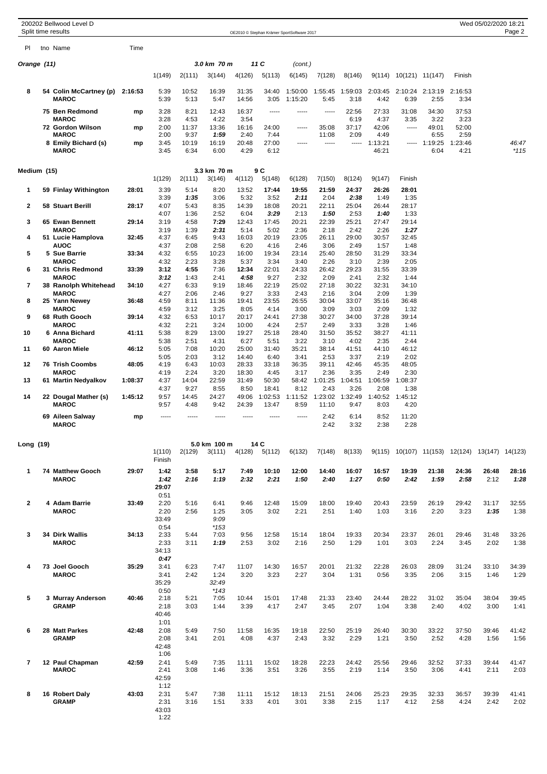|                |  | 200202 Bellwood Level D<br>Split time results  |         |                               |               |                       |                |                  | OE2010 © Stephan Krämer SportSoftware 2017 |                  |                 |                  |                              |                         |                                                | Wed 05/02/2020 18:21 | Page 2        |
|----------------|--|------------------------------------------------|---------|-------------------------------|---------------|-----------------------|----------------|------------------|--------------------------------------------|------------------|-----------------|------------------|------------------------------|-------------------------|------------------------------------------------|----------------------|---------------|
| PI             |  | tno Name                                       | Time    |                               |               |                       |                |                  |                                            |                  |                 |                  |                              |                         |                                                |                      |               |
|                |  |                                                |         |                               |               | 3.0 km 70 m           |                |                  |                                            |                  |                 |                  |                              |                         |                                                |                      |               |
| Orange (11)    |  |                                                |         |                               |               |                       |                | 11 C             | (cont.)                                    |                  |                 |                  |                              |                         |                                                |                      |               |
|                |  |                                                |         | 1(149)                        | 2(111)        | 3(144)                | 4(126)         | 5(113)           | 6(145)                                     | 7(128)           | 8(146)          |                  | $9(114)$ $10(121)$ $11(147)$ |                         | Finish                                         |                      |               |
| 8              |  | 54 Colin McCartney (p) 2:16:53<br><b>MAROC</b> |         | 5:39<br>5:39                  | 10:52<br>5:13 | 16:39<br>5:47         | 31:35<br>14:56 | 34:40<br>3:05    | 1:50:00<br>1:15:20                         | 1:55:45<br>5:45  | 1:59:03<br>3:18 | 2:03:45<br>4:42  | 6:39                         | 2:10:24 2:13:19<br>2:55 | 2:16:53<br>3:34                                |                      |               |
|                |  | 75 Ben Redmond                                 | mp      | 3:28                          | 8:21          | 12:43                 | 16:37          | 1.1.1.1          | -----                                      | -----            | 22:56           | 27:33            | 31:08                        | 34:30                   | 37:53                                          |                      |               |
|                |  | <b>MAROC</b><br>72 Gordon Wilson               | mp      | 3:28<br>2:00                  | 4:53<br>11:37 | 4:22<br>13:36         | 3:54<br>16:16  | 24:00            | -----                                      | 35:08            | 6:19<br>37:17   | 4:37<br>42:06    | 3:35<br>-----                | 3:22<br>49:01           | 3:23<br>52:00                                  |                      |               |
|                |  | <b>MAROC</b>                                   |         | 2:00                          | 9:37          | 1:59                  | 2:40           | 7:44             |                                            | 11:08            | 2:09            | 4:49             |                              | 6:55                    | 2:59                                           |                      |               |
|                |  | 8 Emily Bichard (s)<br><b>MAROC</b>            | mp      | 3:45<br>3:45                  | 10:19<br>6:34 | 16:19<br>6:00         | 20:48<br>4:29  | 27:00<br>6:12    | -----                                      | -----            | -----           | 1:13:21<br>46:21 | -----                        | 1:19:25<br>6:04         | 1:23:46<br>4:21                                |                      | 46:47<br>*115 |
| Medium (15)    |  |                                                |         |                               |               | 3.3 km 70 m           |                | 9 C              |                                            |                  |                 |                  |                              |                         |                                                |                      |               |
|                |  |                                                |         | 1(129)                        | 2(111)        | 3(146)                | 4(112)         | 5(148)           | 6(128)                                     | 7(150)           | 8(124)          | 9(147)           | Finish                       |                         |                                                |                      |               |
| 1              |  | 59 Finlay Withington                           | 28:01   | 3:39<br>3:39                  | 5:14<br>1:35  | 8:20<br>3:06          | 13:52<br>5:32  | 17:44<br>3:52    | 19:55<br>2:11                              | 21:59<br>2:04    | 24:37<br>2:38   | 26:26<br>1:49    | 28:01<br>1:35                |                         |                                                |                      |               |
| $\mathbf{2}$   |  | <b>58 Stuart Berill</b>                        | 28:17   | 4:07                          | 5:43          | 8:35                  | 14:39          | 18:08            | 20:21                                      | 22:11            | 25:04           | 26:44            | 28:17                        |                         |                                                |                      |               |
| 3              |  | 65 Ewan Bennett                                | 29:14   | 4:07<br>3:19                  | 1:36<br>4:58  | 2:52<br>7:29          | 6:04<br>12:43  | 3:29<br>17:45    | 2:13<br>20:21                              | 1:50<br>22:39    | 2:53<br>25:21   | 1:40<br>27:47    | 1:33<br>29:14                |                         |                                                |                      |               |
|                |  | <b>MAROC</b>                                   |         | 3:19                          | 1:39          | 2:31                  | 5:14           | 5:02             | 2:36                                       | 2:18             | 2:42            | 2:26             | 1:27                         |                         |                                                |                      |               |
| 4              |  | 51 Lucie Hamplova<br><b>AUOC</b>               | 32:45   | 4:37<br>4:37                  | 6:45          | 9:43                  | 16:03          | 20:19            | 23:05                                      | 26:11            | 29:00           | 30:57            | 32:45                        |                         |                                                |                      |               |
| 5              |  | 5 Sue Barrie                                   | 33:34   | 4:32                          | 2:08<br>6:55  | 2:58<br>10:23         | 6:20<br>16:00  | 4:16<br>19:34    | 2:46<br>23:14                              | 3:06<br>25:40    | 2:49<br>28:50   | 1:57<br>31:29    | 1:48<br>33:34                |                         |                                                |                      |               |
|                |  | <b>MAROC</b>                                   |         | 4:32                          | 2:23          | 3:28                  | 5:37           | 3:34             | 3:40                                       | 2:26             | 3:10            | 2:39             | 2:05                         |                         |                                                |                      |               |
| 6              |  | 31 Chris Redmond<br><b>MAROC</b>               | 33:39   | 3:12<br>3:12                  | 4:55<br>1:43  | 7:36<br>2:41          | 12:34<br>4:58  | 22:01<br>9:27    | 24:33<br>2:32                              | 26:42<br>2:09    | 29:23<br>2:41   | 31:55<br>2:32    | 33:39<br>1:44                |                         |                                                |                      |               |
| 7              |  | 38 Ranolph Whitehead                           | 34:10   | 4:27                          | 6:33          | 9:19                  | 18:46          | 22:19            | 25:02                                      | 27:18            | 30:22           | 32:31            | 34:10                        |                         |                                                |                      |               |
| 8              |  | <b>MAROC</b><br>25 Yann Newey                  | 36:48   | 4:27<br>4:59                  | 2:06<br>8:11  | 2:46<br>11:36         | 9:27<br>19:41  | 3:33<br>23:55    | 2:43<br>26:55                              | 2:16<br>30:04    | 3:04<br>33:07   | 2:09<br>35:16    | 1:39<br>36:48                |                         |                                                |                      |               |
|                |  | <b>MAROC</b>                                   |         | 4:59                          | 3:12          | 3:25                  | 8:05           | 4:14             | 3:00                                       | 3:09             | 3:03            | 2:09             | 1:32                         |                         |                                                |                      |               |
| 9              |  | 68 Ruth Gooch                                  | 39:14   | 4:32                          | 6:53          | 10:17                 | 20:17          | 24:41            | 27:38                                      | 30:27            | 34:00           | 37:28            | 39:14                        |                         |                                                |                      |               |
| 10             |  | <b>MAROC</b><br>6 Anna Bichard                 | 41:11   | 4:32<br>5:38                  | 2:21<br>8:29  | 3:24<br>13:00         | 10:00<br>19:27 | 4:24<br>25:18    | 2:57<br>28:40                              | 2:49<br>31:50    | 3:33<br>35:52   | 3:28<br>38:27    | 1:46<br>41:11                |                         |                                                |                      |               |
|                |  | <b>MAROC</b>                                   |         | 5:38                          | 2:51          | 4:31                  | 6:27           | 5:51             | 3:22                                       | 3:10             | 4:02            | 2:35             | 2:44                         |                         |                                                |                      |               |
| 11             |  | 60 Aaron Miele                                 | 46:12   | 5:05<br>5:05                  | 7:08<br>2:03  | 10:20<br>3:12         | 25:00<br>14:40 | 31:40<br>6:40    | 35:21<br>3:41                              | 38:14<br>2:53    | 41:51<br>3:37   | 44:10<br>2:19    | 46:12<br>2:02                |                         |                                                |                      |               |
| 12             |  | <b>76 Trish Coombs</b>                         | 48:05   | 4:19                          | 6:43          | 10:03                 | 28:33          | 33:18            | 36:35                                      | 39:11            | 42:46           | 45:35            | 48:05                        |                         |                                                |                      |               |
|                |  | <b>MAROC</b>                                   |         | 4:19                          | 2:24          | 3:20                  | 18:30          | 4:45             | 3:17                                       | 2:36             | 3:35            | 2:49             | 2:30                         |                         |                                                |                      |               |
| 13             |  | 61 Martin Nedyalkov                            | 1:08:37 | 4:37<br>4:37                  | 14:04<br>9:27 | 22:59<br>8:55         | 31:49<br>8:50  | 50:30<br>18:41   | 58:42<br>8:12                              | 1:01:25<br>2:43  | 1:04:51<br>3:26 | 1:06:59<br>2:08  | 1:08:37<br>1:38              |                         |                                                |                      |               |
| 14             |  | 22 Dougal Mather (s)<br><b>MAROC</b>           | 1:45:12 | 9:57<br>9:57                  | 14:45<br>4:48 | 24:27<br>9:42         | 49:06<br>24:39 | 1:02:53<br>13:47 | 1:11:52<br>8:59                            | 1:23:02<br>11:10 | 1:32:49<br>9:47 | 1:40:52<br>8:03  | 1:45:12<br>4:20              |                         |                                                |                      |               |
|                |  | 69 Aileen Salway<br><b>MAROC</b>               | mp      | -----                         | -----         | -----                 | -----          | -----            | -----                                      | 2:42<br>2:42     | 6:14<br>3:32    | 8:52<br>2:38     | 11:20<br>2:28                |                         |                                                |                      |               |
| Long (19)      |  |                                                |         |                               |               | 5.0 km 100 m          |                | 14 C             |                                            |                  |                 |                  |                              |                         |                                                |                      |               |
|                |  |                                                |         | 1(110)<br>Finish              | 2(129)        | 3(111)                | 4(128)         | 5(112)           | 6(132)                                     | 7(148)           | 8(133)          |                  |                              |                         | 9(115) 10(107) 11(153) 12(124) 13(147) 14(123) |                      |               |
| 1              |  | 74 Matthew Gooch<br><b>MAROC</b>               | 29:07   | 1:42<br>1:42<br>29:07         | 3:58<br>2:16  | 5:17<br>1:19          | 7:49<br>2:32   | 10:10<br>2:21    | 12:00<br>1:50                              | 14:40<br>2:40    | 16:07<br>1:27   | 16:57<br>0:50    | 19:39<br>2:42                | 21:38<br>1:59           | 24:36<br>2:58                                  | 26:48<br>2:12        | 28:16<br>1:28 |
| $\mathbf{2}$   |  | 4 Adam Barrie                                  | 33:49   | 0:51<br>2:20                  | 5:16          | 6:41                  | 9:46           | 12:48            | 15:09                                      | 18:00            | 19:40           | 20:43            | 23:59                        | 26:19                   | 29:42                                          | 31:17                | 32:55         |
|                |  | <b>MAROC</b>                                   |         | 2:20<br>33:49                 | 2:56          | 1:25<br>9:09          | 3:05           | 3:02             | 2:21                                       | 2:51             | 1:40            | 1:03             | 3:16                         | 2:20                    | 3:23                                           | 1:35                 | 1:38          |
| 3              |  | 34 Dirk Wallis                                 | 34:13   | 0:54<br>2:33                  | 5:44          | $*153$<br>7:03        | 9:56           | 12:58            | 15:14                                      | 18:04            | 19:33           | 20:34            | 23:37                        | 26:01                   | 29:46                                          | 31:48                | 33:26         |
|                |  | <b>MAROC</b>                                   |         | 2:33<br>34:13                 | 3:11          | 1:19                  | 2:53           | 3:02             | 2:16                                       | 2:50             | 1:29            | 1:01             | 3:03                         | 2:24                    | 3:45                                           | 2:02                 | 1:38          |
|                |  |                                                |         | 0:47                          |               |                       |                |                  |                                            |                  |                 |                  |                              |                         |                                                |                      |               |
| 4              |  | 73 Joel Gooch<br><b>MAROC</b>                  | 35:29   | 3:41<br>3:41<br>35:29         | 6:23<br>2:42  | 7:47<br>1:24<br>32:49 | 11:07<br>3:20  | 14:30<br>3:23    | 16:57<br>2:27                              | 20:01<br>3:04    | 21:32<br>1:31   | 22:28<br>0:56    | 26:03<br>3:35                | 28:09<br>2:06           | 31:24<br>3:15                                  | 33:10<br>1:46        | 34:39<br>1:29 |
|                |  |                                                |         | 0:50                          |               | $*143$                |                |                  |                                            |                  |                 |                  |                              |                         |                                                |                      |               |
| 5              |  | 3 Murray Anderson<br><b>GRAMP</b>              | 40:46   | 2:18<br>2:18<br>40:46         | 5:21<br>3:03  | 7:05<br>1:44          | 10:44<br>3:39  | 15:01<br>4:17    | 17:48<br>2:47                              | 21:33<br>3:45    | 23:40<br>2:07   | 24:44<br>1:04    | 28:22<br>3:38                | 31:02<br>2:40           | 35:04<br>4:02                                  | 38:04<br>3:00        | 39:45<br>1:41 |
| 6              |  | 28 Matt Parkes                                 | 42:48   | 1:01<br>2:08                  | 5:49          | 7:50                  | 11:58          | 16:35            | 19:18                                      | 22:50            | 25:19           | 26:40            | 30:30                        | 33:22                   | 37:50                                          | 39:46                | 41:42         |
|                |  | <b>GRAMP</b>                                   |         | 2:08                          | 3:41          | 2:01                  | 4:08           | 4:37             | 2:43                                       | 3:32             | 2:29            | 1:21             | 3:50                         | 2:52                    | 4:28                                           | 1:56                 | 1:56          |
|                |  |                                                |         | 42:48<br>1:06                 |               |                       |                |                  |                                            |                  |                 |                  |                              |                         |                                                |                      |               |
| $\overline{7}$ |  | 12 Paul Chapman                                | 42:59   | 2:41                          | 5:49          | 7:35                  | 11:11          | 15:02            | 18:28                                      | 22:23            | 24:42           | 25:56            | 29:46                        | 32:52                   | 37:33                                          | 39:44                | 41:47         |
|                |  | <b>MAROC</b>                                   |         | 2:41<br>42:59<br>1:12         | 3:08          | 1:46                  | 3:36           | 3:51             | 3:26                                       | 3:55             | 2:19            | 1:14             | 3:50                         | 3:06                    | 4:41                                           | 2:11                 | 2:03          |
| 8              |  | 16 Robert Daly<br><b>GRAMP</b>                 | 43:03   | 2:31<br>2:31<br>43:03<br>1:22 | 5:47<br>3:16  | 7:38<br>1:51          | 11:11<br>3:33  | 15:12<br>4:01    | 18:13<br>3:01                              | 21:51<br>3:38    | 24:06<br>2:15   | 25:23<br>1:17    | 29:35<br>4:12                | 32:33<br>2:58           | 36:57<br>4:24                                  | 39:39<br>2:42        | 41:41<br>2:02 |